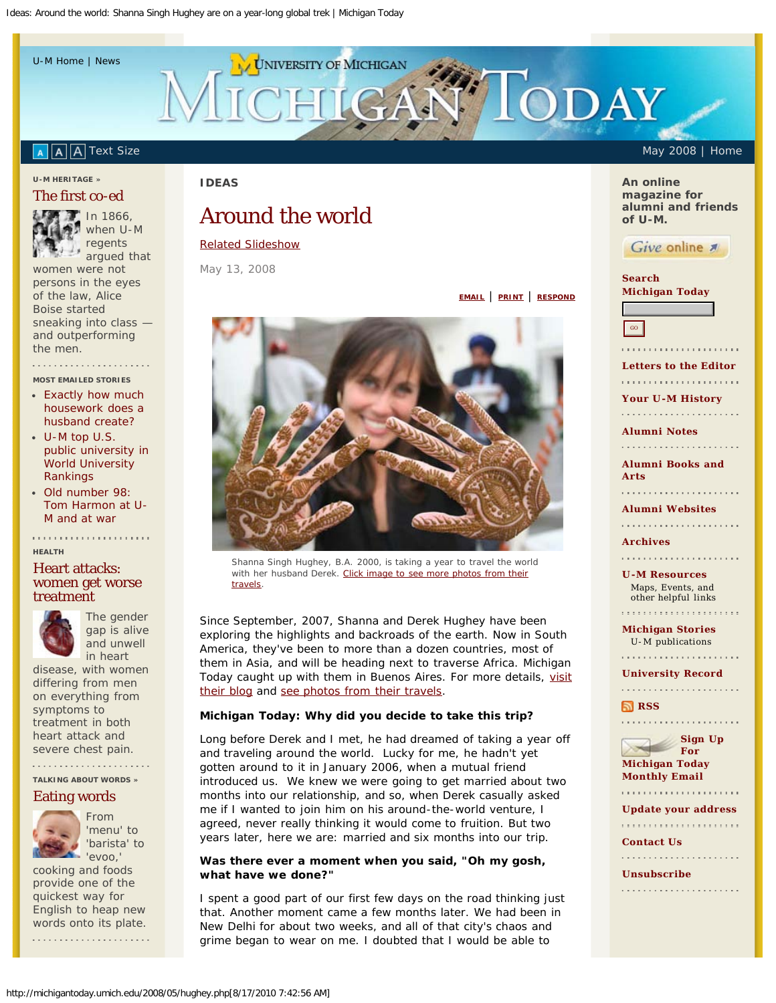<span id="page-0-0"></span>[U-M Home](http://www.umich.edu/) | [News](http://www.umich.edu/news/)

# **UNIVERSITY OF MICHIGAN TIODAY** GA-

#### A A [T](http://michigantoday.umich.edu/includes/switch.php?textsize=larger)ext Size May 2008 | [Home](http://michigantoday.umich.edu/)  $A$

#### **[U-M HERITAGE](http://michigantoday.umich.edu/heritage-archive.php) »**

## [The first co-ed](http://michigantoday.umich.edu/2008/05/boise.php)



regents argued that women were not persons in the eyes of the law, Alice Boise started sneaking into class and outperforming the men.

**MOST EMAILED STORIES**

- [Exactly how much](http://michigantoday.umich.edu/2008/apr/husband.php) [housework does a](http://michigantoday.umich.edu/2008/apr/husband.php) [husband create?](http://michigantoday.umich.edu/2008/apr/husband.php)
- [U-M top U.S.](http://michigantoday.umich.edu/2008/11/number1.php) [public university in](http://michigantoday.umich.edu/2008/11/number1.php) [World University](http://michigantoday.umich.edu/2008/11/number1.php) [Rankings](http://michigantoday.umich.edu/2008/11/number1.php)
- [Old number 98:](http://michigantoday.umich.edu/2008/09/harmon.php) [Tom Harmon at U-](http://michigantoday.umich.edu/2008/09/harmon.php)[M and at war](http://michigantoday.umich.edu/2008/09/harmon.php)

#### **HEALTH**

## [Heart attacks:](http://www2.med.umich.edu/prmc/media/newsroom/details.cfm?ID=217) [women get worse](http://www2.med.umich.edu/prmc/media/newsroom/details.cfm?ID=217) [treatment](http://www2.med.umich.edu/prmc/media/newsroom/details.cfm?ID=217)



The gender gap is alive and unwell in heart

disease, with women differing from men on everything from symptoms to treatment in both heart attack and severe chest pain.

**[TALKING ABOUT WORDS](http://michigantoday.umich.edu/words-archive.php) »**

## [Eating words](http://michigantoday.umich.edu/2008/05/words.php)



From 'menu' to 'barista' to 'evoo,'

cooking and foods provide one of the quickest way for English to heap new words onto its plate.

## **IDEAS**

# Around the world

## [Related Slideshow](http://michigantoday.umich.edu/2008/05/slideshow.php?directory=hughey)

May 13, 2008



*Shanna Singh Hughey, B.A. 2000, is taking a year to travel the world with her husband Derek. [Click image to see more photos from their](http://michigantoday.umich.edu/2008/05/slideshow.php?directory=hughey) [travels](http://michigantoday.umich.edu/2008/05/slideshow.php?directory=hughey).*

*Since September, 2007, Shanna and Derek Hughey have been exploring the highlights and backroads of the earth. Now in South America, they've been to more than a dozen countries, most of them in Asia, and will be heading next to traverse Africa. Michigan Today caught up with them in Buenos Aires. For more details, [visit](http://www.oneyearonearth.com/) [their blog](http://www.oneyearonearth.com/) and [see photos from their travels.](http://michigantoday.umich.edu/2008/05/slideshow.php?directory=hughey)*

#### *Michigan Today:* **Why did you decide to take this trip?**

Long before Derek and I met, he had dreamed of taking a year off and traveling around the world. Lucky for me, he hadn't yet gotten around to it in January 2006, when a mutual friend introduced us. We knew we were going to get married about two months into our relationship, and so, when Derek casually asked me if I wanted to join him on his around-the-world venture, I agreed, never really thinking it would come to fruition. But two years later, here we are: married and six months into our trip.

## **Was there ever a moment when you said, "Oh my gosh, what have we done?"**

I spent a good part of our first few days on the road thinking just that. Another moment came a few months later. We had been in New Delhi for about two weeks, and all of that city's chaos and grime began to wear on me. I doubted that I would be able to

**An online magazine for alumni and friends of U-M.**



**Search Michigan Today**



**[EMAIL](javascript:popUp()** | **[PRINT](javascript:print();)** | **[RESPOND](http://michigantoday.umich.edu/letters_add.php)**

**[Letters to the Editor](http://michigantoday.umich.edu/letters.php)** 

**[Your U-M History](http://michigantoday.umich.edu/heritage.php)**

**[Alumni Notes](http://michigantoday.umich.edu/classnotes.php)**

**[Alumni Books and](http://michigantoday.umich.edu/booksandarts.php)**

**[Arts](http://michigantoday.umich.edu/booksandarts.php)** 

**[Alumni Websites](http://michigantoday.umich.edu/alum-sites.php)**

**[Archives](http://michigantoday.umich.edu/archive.php)**

**[U-M Resources](http://michigantoday.umich.edu/links.php)** Maps, Events, and other helpful links

**[Michigan Stories](http://michigantoday.umich.edu/other-um-sites.php)** U-M publications

**[University Record](http://ur.umich.edu/)** 

**[RSS](http://michigantoday.umich.edu/rss.php)** 



**[Update your address](https://www.dac.dev.umich.edu/freeform/controller?event=FREEFORM_IDENTIFY_USER&unitId=dev)** 

**[Contact Us](mailto:MToday@umich.edu)**

**[Unsubscribe](http://www.kintera.org/autogen/home/default.asp?ievent=326471)**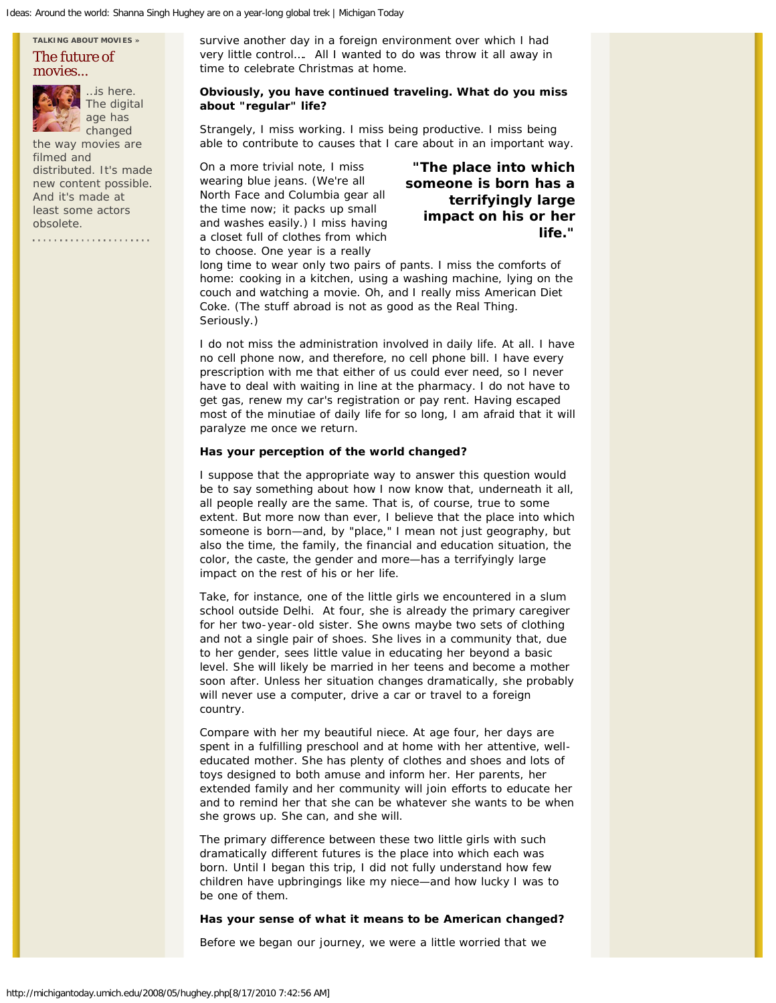## **[TALKING ABOUT MOVIES](http://michigantoday.umich.edu/movies-archive.php) »** [The future of](http://michigantoday.umich.edu/2008/05/movies.php) [movies...](http://michigantoday.umich.edu/2008/05/movies.php)



…is here. The digital age has changed

the way movies are filmed and distributed. It's made new content possible. And it's made at least some actors obsolete.

survive another day in a foreign environment over which I had very little control…. All I wanted to do was throw it all away in time to celebrate Christmas at home.

## **Obviously, you have continued traveling. What do you miss about "regular" life?**

Strangely, I miss working. I miss being productive. I miss being able to contribute to causes that I care about in an important way.

On a more trivial note, I miss wearing blue jeans. (We're all North Face and Columbia gear all the time now; it packs up small and washes easily.) I miss having a closet full of clothes from which to choose. One year is a really

**"The place into which someone is born has a terrifyingly large impact on his or her life."**

long time to wear only two pairs of pants. I miss the comforts of home: cooking in a kitchen, using a washing machine, lying on the couch and watching a movie. Oh, and I really miss American Diet Coke. (The stuff abroad is not as good as the Real Thing. Seriously.)

I do not miss the administration involved in daily life. At all. I have no cell phone now, and therefore, no cell phone bill. I have every prescription with me that either of us could ever need, so I never have to deal with waiting in line at the pharmacy. I do not have to get gas, renew my car's registration or pay rent. Having escaped most of the minutiae of daily life for so long, I am afraid that it will paralyze me once we return.

## **Has your perception of the world changed?**

I suppose that the appropriate way to answer this question would be to say something about how I now know that, underneath it all, all people really are the same. That is, of course, true to some extent. But more now than ever, I believe that the place into which someone is born—and, by "place," I mean not just geography, but also the time, the family, the financial and education situation, the color, the caste, the gender and more—has a terrifyingly large impact on the rest of his or her life.

Take, for instance, one of the little girls we encountered in a slum school outside Delhi. At four, she is already the primary caregiver for her two-year-old sister. She owns maybe two sets of clothing and not a single pair of shoes. She lives in a community that, due to her gender, sees little value in educating her beyond a basic level. She will likely be married in her teens and become a mother soon after. Unless her situation changes dramatically, she probably will never use a computer, drive a car or travel to a foreign country.

Compare with her my beautiful niece. At age four, her days are spent in a fulfilling preschool and at home with her attentive, welleducated mother. She has plenty of clothes and shoes and lots of toys designed to both amuse and inform her. Her parents, her extended family and her community will join efforts to educate her and to remind her that she can be whatever she wants to be when she grows up. She can, and she will.

The primary difference between these two little girls with such dramatically different futures is the place into which each was born. Until I began this trip, I did not fully understand how few children have upbringings like my niece—and how lucky I was to be one of them.

#### **Has your sense of what it means to be American changed?**

Before we began our journey, we were a little worried that we